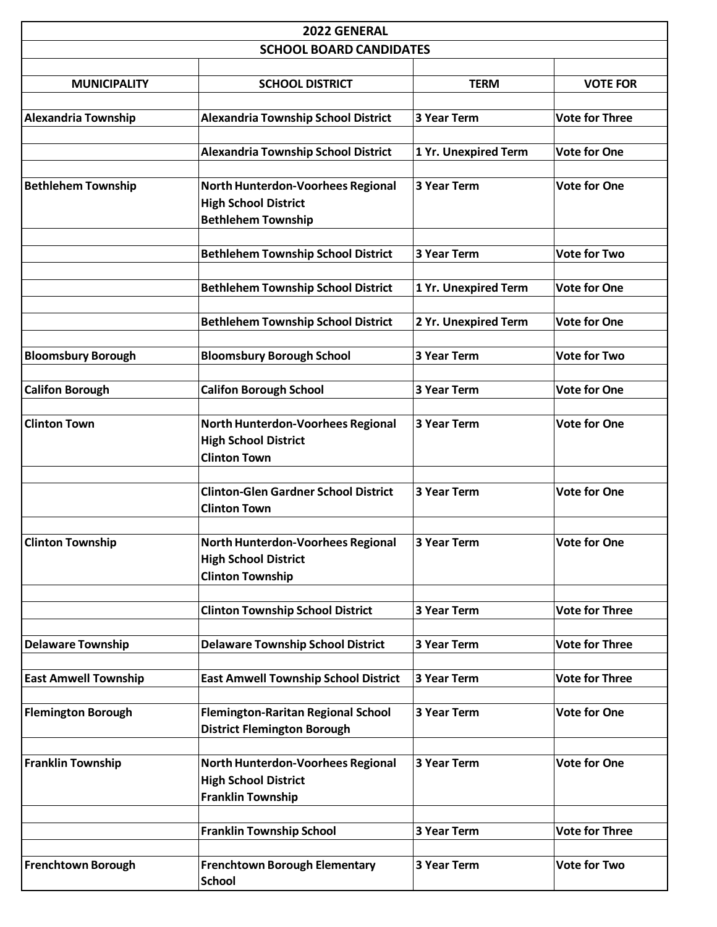| 2022 GENERAL                   |                                                                                               |                      |                       |  |  |
|--------------------------------|-----------------------------------------------------------------------------------------------|----------------------|-----------------------|--|--|
| <b>SCHOOL BOARD CANDIDATES</b> |                                                                                               |                      |                       |  |  |
| <b>MUNICIPALITY</b>            | <b>SCHOOL DISTRICT</b>                                                                        | <b>TERM</b>          | <b>VOTE FOR</b>       |  |  |
| <b>Alexandria Township</b>     | <b>Alexandria Township School District</b>                                                    | 3 Year Term          | <b>Vote for Three</b> |  |  |
|                                | <b>Alexandria Township School District</b>                                                    | 1 Yr. Unexpired Term | <b>Vote for One</b>   |  |  |
| <b>Bethlehem Township</b>      | North Hunterdon-Voorhees Regional<br><b>High School District</b><br><b>Bethlehem Township</b> | 3 Year Term          | <b>Vote for One</b>   |  |  |
|                                | <b>Bethlehem Township School District</b>                                                     | 3 Year Term          | <b>Vote for Two</b>   |  |  |
|                                | <b>Bethlehem Township School District</b>                                                     | 1 Yr. Unexpired Term | <b>Vote for One</b>   |  |  |
|                                | <b>Bethlehem Township School District</b>                                                     | 2 Yr. Unexpired Term | <b>Vote for One</b>   |  |  |
| <b>Bloomsbury Borough</b>      | <b>Bloomsbury Borough School</b>                                                              | 3 Year Term          | <b>Vote for Two</b>   |  |  |
| <b>Califon Borough</b>         | <b>Califon Borough School</b>                                                                 | 3 Year Term          | <b>Vote for One</b>   |  |  |
| <b>Clinton Town</b>            | North Hunterdon-Voorhees Regional<br><b>High School District</b><br><b>Clinton Town</b>       | 3 Year Term          | <b>Vote for One</b>   |  |  |
|                                | <b>Clinton-Glen Gardner School District</b><br><b>Clinton Town</b>                            | 3 Year Term          | <b>Vote for One</b>   |  |  |
| <b>Clinton Township</b>        | North Hunterdon-Voorhees Regional<br><b>High School District</b><br><b>Clinton Township</b>   | 3 Year Term          | <b>Vote for One</b>   |  |  |
|                                | <b>Clinton Township School District</b>                                                       | 3 Year Term          | <b>Vote for Three</b> |  |  |
| <b>Delaware Township</b>       | <b>Delaware Township School District</b>                                                      | 3 Year Term          | <b>Vote for Three</b> |  |  |
| <b>East Amwell Township</b>    | <b>East Amwell Township School District</b>                                                   | 3 Year Term          | <b>Vote for Three</b> |  |  |
| <b>Flemington Borough</b>      | <b>Flemington-Raritan Regional School</b><br><b>District Flemington Borough</b>               | 3 Year Term          | <b>Vote for One</b>   |  |  |
| <b>Franklin Township</b>       | North Hunterdon-Voorhees Regional<br><b>High School District</b><br><b>Franklin Township</b>  | 3 Year Term          | <b>Vote for One</b>   |  |  |
|                                | <b>Franklin Township School</b>                                                               | 3 Year Term          | <b>Vote for Three</b> |  |  |
| <b>Frenchtown Borough</b>      | <b>Frenchtown Borough Elementary</b><br><b>School</b>                                         | 3 Year Term          | <b>Vote for Two</b>   |  |  |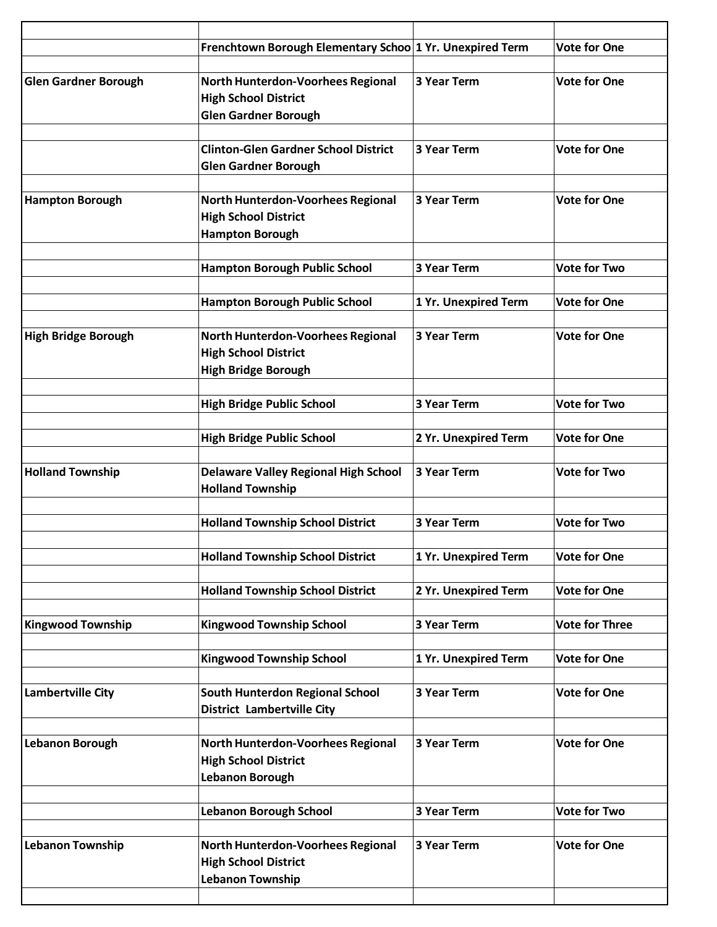|                             | Frenchtown Borough Elementary Schoo 1 Yr. Unexpired Term                                        |                      | <b>Vote for One</b>   |
|-----------------------------|-------------------------------------------------------------------------------------------------|----------------------|-----------------------|
| <b>Glen Gardner Borough</b> | North Hunterdon-Voorhees Regional<br><b>High School District</b><br><b>Glen Gardner Borough</b> | 3 Year Term          | <b>Vote for One</b>   |
|                             | <b>Clinton-Glen Gardner School District</b><br><b>Glen Gardner Borough</b>                      | <b>3 Year Term</b>   | <b>Vote for One</b>   |
| <b>Hampton Borough</b>      | North Hunterdon-Voorhees Regional<br><b>High School District</b><br><b>Hampton Borough</b>      | <b>3 Year Term</b>   | <b>Vote for One</b>   |
|                             | <b>Hampton Borough Public School</b>                                                            | <b>3 Year Term</b>   | <b>Vote for Two</b>   |
|                             | <b>Hampton Borough Public School</b>                                                            | 1 Yr. Unexpired Term | <b>Vote for One</b>   |
| <b>High Bridge Borough</b>  | North Hunterdon-Voorhees Regional<br><b>High School District</b><br><b>High Bridge Borough</b>  | <b>3 Year Term</b>   | <b>Vote for One</b>   |
|                             | <b>High Bridge Public School</b>                                                                | <b>3 Year Term</b>   | <b>Vote for Two</b>   |
|                             | <b>High Bridge Public School</b>                                                                | 2 Yr. Unexpired Term | <b>Vote for One</b>   |
| <b>Holland Township</b>     | <b>Delaware Valley Regional High School</b><br><b>Holland Township</b>                          | <b>3 Year Term</b>   | <b>Vote for Two</b>   |
|                             | <b>Holland Township School District</b>                                                         | <b>3 Year Term</b>   | <b>Vote for Two</b>   |
|                             | <b>Holland Township School District</b>                                                         | 1 Yr. Unexpired Term | <b>Vote for One</b>   |
|                             | <b>Holland Township School District</b>                                                         | 2 Yr. Unexpired Term | <b>Vote for One</b>   |
| <b>Kingwood Township</b>    | <b>Kingwood Township School</b>                                                                 | 3 Year Term          | <b>Vote for Three</b> |
|                             | <b>Kingwood Township School</b>                                                                 | 1 Yr. Unexpired Term | <b>Vote for One</b>   |
| <b>Lambertville City</b>    | <b>South Hunterdon Regional School</b><br><b>District Lambertville City</b>                     | 3 Year Term          | <b>Vote for One</b>   |
| <b>Lebanon Borough</b>      | North Hunterdon-Voorhees Regional<br><b>High School District</b><br><b>Lebanon Borough</b>      | 3 Year Term          | <b>Vote for One</b>   |
|                             | <b>Lebanon Borough School</b>                                                                   | 3 Year Term          | <b>Vote for Two</b>   |
| <b>Lebanon Township</b>     | North Hunterdon-Voorhees Regional<br><b>High School District</b><br><b>Lebanon Township</b>     | 3 Year Term          | <b>Vote for One</b>   |
|                             |                                                                                                 |                      |                       |